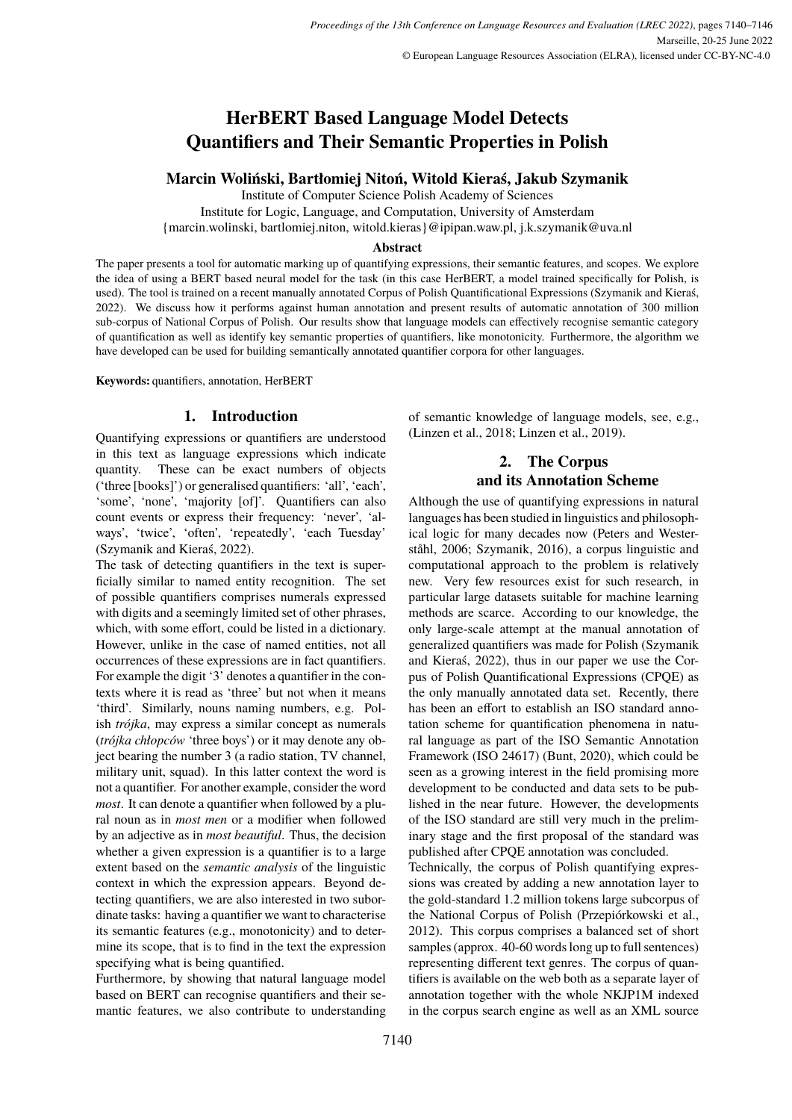# **HerBERT Based Language Model Detects Quantifiers and Their Semantic Properties in Polish**

## **Marcin Woliński, Bartłomiej Nitoń, Witold Kieraś, Jakub Szymanik**

Institute of Computer Science Polish Academy of Sciences

Institute for Logic, Language, and Computation, University of Amsterdam

{marcin.wolinski, bartlomiej.niton, witold.kieras}@ipipan.waw.pl, j.k.szymanik@uva.nl

## **Abstract**

The paper presents a tool for automatic marking up of quantifying expressions, their semantic features, and scopes. We explore the idea of using a BERT based neural model for the task (in this case HerBERT, a model trained specifically for Polish, is used). The tool is trained on a recent manually annotated Corpus of Polish Quantificational Expressions [\(Szymanik and Kieraś,](#page-6-0) [2022\)](#page-6-0). We discuss how it performs against human annotation and present results of automatic annotation of 300 million sub-corpus of National Corpus of Polish. Our results show that language models can effectively recognise semantic category of quantification as well as identify key semantic properties of quantifiers, like monotonicity. Furthermore, the algorithm we have developed can be used for building semantically annotated quantifier corpora for other languages.

**Keywords:** quantifiers, annotation, HerBERT

## **1. Introduction**

Quantifying expressions or quantifiers are understood in this text as language expressions which indicate quantity. These can be exact numbers of objects ('three [books]') or generalised quantifiers: 'all', 'each', 'some', 'none', 'majority [of]'. Quantifiers can also count events or express their frequency: 'never', 'always', 'twice', 'often', 'repeatedly', 'each Tuesday' [\(Szymanik and Kieraś, 2022\)](#page-6-0).

The task of detecting quantifiers in the text is superficially similar to named entity recognition. The set of possible quantifiers comprises numerals expressed with digits and a seemingly limited set of other phrases, which, with some effort, could be listed in a dictionary. However, unlike in the case of named entities, not all occurrences of these expressions are in fact quantifiers. For example the digit '3' denotes a quantifier in the contexts where it is read as 'three' but not when it means 'third'. Similarly, nouns naming numbers, e.g. Polish *trójka*, may express a similar concept as numerals (*trójka chłopców* 'three boys') or it may denote any object bearing the number 3 (a radio station, TV channel, military unit, squad). In this latter context the word is not a quantifier. For another example, consider the word *most*. It can denote a quantifier when followed by a plural noun as in *most men* or a modifier when followed by an adjective as in *most beautiful*. Thus, the decision whether a given expression is a quantifier is to a large extent based on the *semantic analysis* of the linguistic context in which the expression appears. Beyond detecting quantifiers, we are also interested in two subordinate tasks: having a quantifier we want to characterise its semantic features (e.g., monotonicity) and to determine its scope, that is to find in the text the expression specifying what is being quantified.

Furthermore, by showing that natural language model based on BERT can recognise quantifiers and their semantic features, we also contribute to understanding

of semantic knowledge of language models, see, e.g., [\(Linzen et al., 2018;](#page-6-1) [Linzen et al., 2019\)](#page-6-2).

## **2. The Corpus and its Annotation Scheme**

Although the use of quantifying expressions in natural languages has been studied in linguistics and philosophical logic for many decades now [\(Peters and Wester](#page-6-3)[ståhl, 2006;](#page-6-3) [Szymanik, 2016\)](#page-6-4), a corpus linguistic and computational approach to the problem is relatively new. Very few resources exist for such research, in particular large datasets suitable for machine learning methods are scarce. According to our knowledge, the only large-scale attempt at the manual annotation of generalized quantifiers was made for Polish [\(Szymanik](#page-6-0) [and Kieraś, 2022\)](#page-6-0), thus in our paper we use the Corpus of Polish Quantificational Expressions (CPQE) as the only manually annotated data set. Recently, there has been an effort to establish an ISO standard annotation scheme for quantification phenomena in natural language as part of the ISO Semantic Annotation Framework (ISO 24617) [\(Bunt, 2020\)](#page-5-0), which could be seen as a growing interest in the field promising more development to be conducted and data sets to be published in the near future. However, the developments of the ISO standard are still very much in the preliminary stage and the first proposal of the standard was published after CPQE annotation was concluded.

Technically, the corpus of Polish quantifying expressions was created by adding a new annotation layer to the gold-standard 1.2 million tokens large subcorpus of the National Corpus of Polish [\(Przepiórkowski et al.,](#page-6-5) [2012\)](#page-6-5). This corpus comprises a balanced set of short samples (approx. 40-60 words long up to full sentences) representing different text genres. The corpus of quantifiers is available on the web both as a separate layer of annotation together with the whole NKJP1M indexed in the corpus search engine as well as an XML source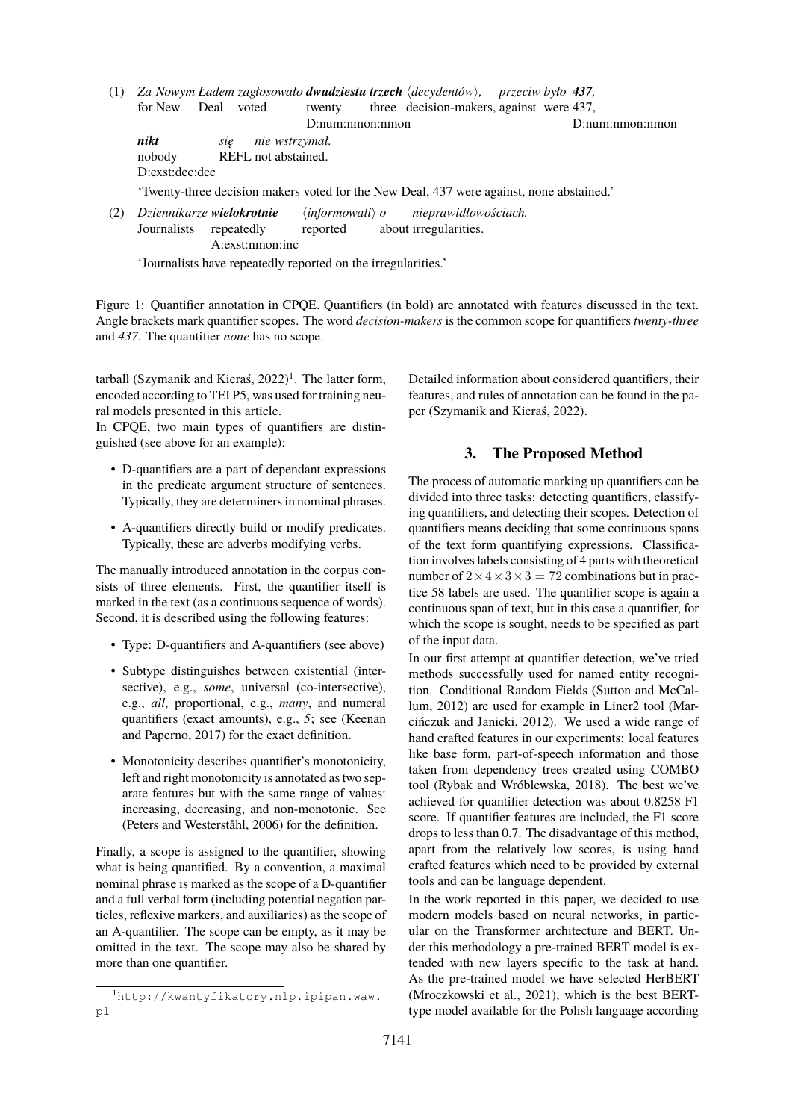- (1) *Za Nowym Ładem zagłosowało dwudziestu trzech* h*decydentów*i*, przeciw było 437,* for New Deal voted twenty D:num:nmon:nmon three decision-makers, against were 437, D:num:nmon:nmon *nikt* nobody D:exst:dec:dec *się* REFL not abstained. *nie wstrzymał.* 'Twenty-three decision makers voted for the New Deal, 437 were against, none abstained.'
- (2) *Dziennikarze wielokrotnie* Journalists repeatedly A:exst:nmon:inc h*informowali*i *o* reported about irregularities. *nieprawidłowościach.*

'Journalists have repeatedly reported on the irregularities.'

Figure 1: Quantifier annotation in CPQE. Quantifiers (in bold) are annotated with features discussed in the text. Angle brackets mark quantifier scopes. The word *decision-makers* is the common scope for quantifiers *twenty-three* and *437*. The quantifier *none* has no scope.

tarball [\(Szymanik and Kieraś, 2022\)](#page-6-0)<sup>[1](#page-1-0)</sup>. The latter form, encoded according to TEI P5, was used for training neural models presented in this article.

In CPQE, two main types of quantifiers are distinguished (see above for an example):

- D-quantifiers are a part of dependant expressions in the predicate argument structure of sentences. Typically, they are determiners in nominal phrases.
- A-quantifiers directly build or modify predicates. Typically, these are adverbs modifying verbs.

The manually introduced annotation in the corpus consists of three elements. First, the quantifier itself is marked in the text (as a continuous sequence of words). Second, it is described using the following features:

- Type: D-quantifiers and A-quantifiers (see above)
- Subtype distinguishes between existential (intersective), e.g., *some*, universal (co-intersective), e.g., *all*, proportional, e.g., *many*, and numeral quantifiers (exact amounts), e.g., *5*; see [\(Keenan](#page-6-6) [and Paperno, 2017\)](#page-6-6) for the exact definition.
- Monotonicity describes quantifier's monotonicity, left and right monotonicity is annotated as two separate features but with the same range of values: increasing, decreasing, and non-monotonic. See [\(Peters and Westerståhl, 2006\)](#page-6-3) for the definition.

Finally, a scope is assigned to the quantifier, showing what is being quantified. By a convention, a maximal nominal phrase is marked as the scope of a D-quantifier and a full verbal form (including potential negation particles, reflexive markers, and auxiliaries) as the scope of an A-quantifier. The scope can be empty, as it may be omitted in the text. The scope may also be shared by more than one quantifier.

Detailed information about considered quantifiers, their features, and rules of annotation can be found in the paper [\(Szymanik and Kieraś, 2022\)](#page-6-0).

## **3. The Proposed Method**

The process of automatic marking up quantifiers can be divided into three tasks: detecting quantifiers, classifying quantifiers, and detecting their scopes. Detection of quantifiers means deciding that some continuous spans of the text form quantifying expressions. Classification involves labels consisting of 4 parts with theoretical number of  $2 \times 4 \times 3 \times 3 = 72$  combinations but in practice 58 labels are used. The quantifier scope is again a continuous span of text, but in this case a quantifier, for which the scope is sought, needs to be specified as part of the input data.

In our first attempt at quantifier detection, we've tried methods successfully used for named entity recognition. Conditional Random Fields [\(Sutton and McCal](#page-6-7)[lum, 2012\)](#page-6-7) are used for example in Liner2 tool [\(Mar](#page-6-8)[cińczuk and Janicki, 2012\)](#page-6-8). We used a wide range of hand crafted features in our experiments: local features like base form, part-of-speech information and those taken from dependency trees created using COMBO tool [\(Rybak and Wróblewska, 2018\)](#page-6-9). The best we've achieved for quantifier detection was about 0.8258 F1 score. If quantifier features are included, the F1 score drops to less than 0.7. The disadvantage of this method, apart from the relatively low scores, is using hand crafted features which need to be provided by external tools and can be language dependent.

In the work reported in this paper, we decided to use modern models based on neural networks, in particular on the Transformer architecture and BERT. Under this methodology a pre-trained BERT model is extended with new layers specific to the task at hand. As the pre-trained model we have selected HerBERT [\(Mroczkowski et al., 2021\)](#page-6-10), which is the best BERTtype model available for the Polish language according

<span id="page-1-0"></span><sup>1</sup>[http://kwantyfikatory.nlp.ipipan.waw.](http://kwantyfikatory.nlp.ipipan.waw.pl) [pl](http://kwantyfikatory.nlp.ipipan.waw.pl)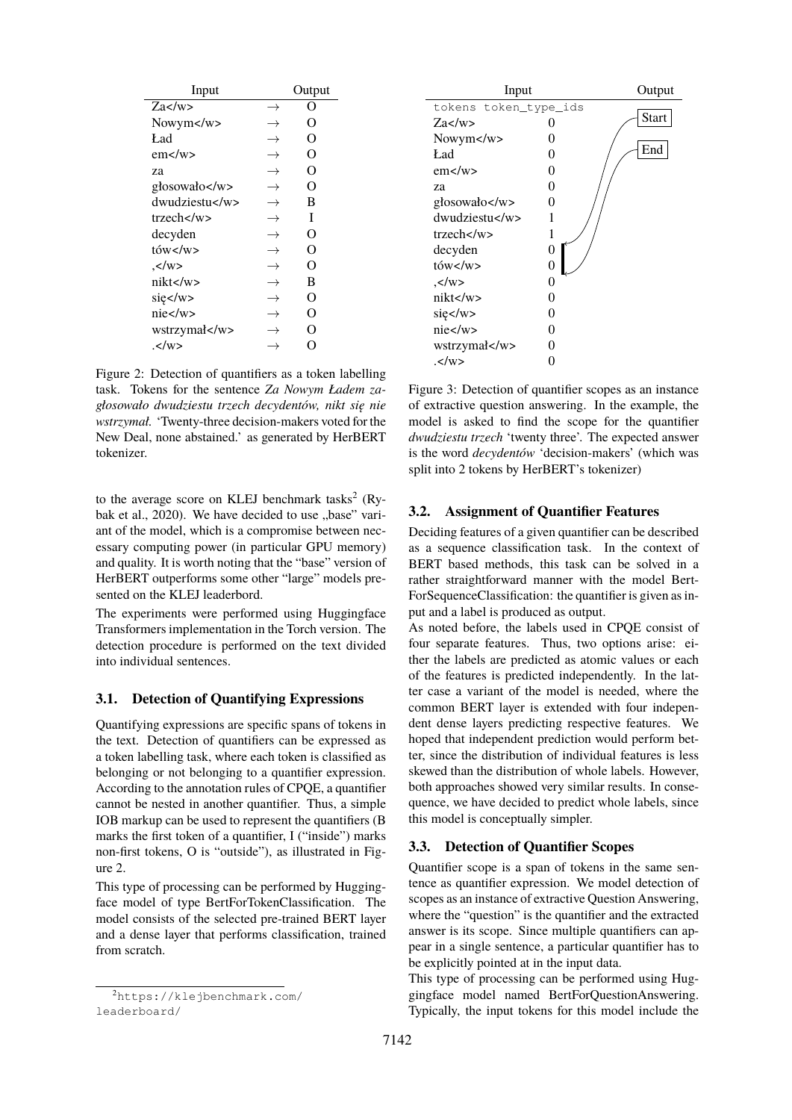| Input              |               | Output |
|--------------------|---------------|--------|
| Za                 | $\rightarrow$ | O      |
| Nowym $\lt$ /w $>$ | $\rightarrow$ | O      |
| Ład                | $\rightarrow$ | O      |
| $em$ $\lt$ /w $>$  | $\rightarrow$ | O      |
| zа                 | $\rightarrow$ | O      |
| głosowało          | $\rightarrow$ | O      |
| dwudziestu         | $\rightarrow$ | B      |
| trzech             | $\rightarrow$ | T      |
| decyden            | $\rightarrow$ | O      |
| tów                | $\rightarrow$ | O      |
| .                  | $\rightarrow$ | O      |
| nikt               | $\rightarrow$ | B      |
| się                | $\rightarrow$ | O      |
| nie                | $\rightarrow$ | O      |
| wstrzymał          | →             | റ      |
| .                  | →             | Ω      |

<span id="page-2-1"></span>Figure 2: Detection of quantifiers as a token labelling task. Tokens for the sentence *Za Nowym Ładem zagłosowało dwudziestu trzech decydentów, nikt się nie wstrzymał.* 'Twenty-three decision-makers voted for the New Deal, none abstained.' as generated by HerBERT tokenizer.

to the average score on KLEJ benchmark tasks<sup>[2](#page-2-0)</sup> [\(Ry](#page-6-11)[bak et al., 2020\)](#page-6-11). We have decided to use "base" variant of the model, which is a compromise between necessary computing power (in particular GPU memory) and quality. It is worth noting that the "base" version of HerBERT outperforms some other "large" models presented on the KLEJ leaderbord.

The experiments were performed using Huggingface Transformers implementation in the Torch version. The detection procedure is performed on the text divided into individual sentences.

## **3.1. Detection of Quantifying Expressions**

Quantifying expressions are specific spans of tokens in the text. Detection of quantifiers can be expressed as a token labelling task, where each token is classified as belonging or not belonging to a quantifier expression. According to the annotation rules of CPQE, a quantifier cannot be nested in another quantifier. Thus, a simple IOB markup can be used to represent the quantifiers (B marks the first token of a quantifier, I ("inside") marks non-first tokens, O is "outside"), as illustrated in Figure [2.](#page-2-1)

This type of processing can be performed by Huggingface model of type BertForTokenClassification. The model consists of the selected pre-trained BERT layer and a dense layer that performs classification, trained from scratch.

<span id="page-2-0"></span><sup>2</sup>[https://klejbenchmark.com/](https://klejbenchmark.com/leaderboard/) [leaderboard/](https://klejbenchmark.com/leaderboard/)



<span id="page-2-2"></span>Figure 3: Detection of quantifier scopes as an instance of extractive question answering. In the example, the model is asked to find the scope for the quantifier *dwudziestu trzech* 'twenty three'. The expected answer is the word *decydentów* 'decision-makers' (which was split into 2 tokens by HerBERT's tokenizer)

## **3.2. Assignment of Quantifier Features**

Deciding features of a given quantifier can be described as a sequence classification task. In the context of BERT based methods, this task can be solved in a rather straightforward manner with the model Bert-ForSequenceClassification: the quantifier is given as input and a label is produced as output.

As noted before, the labels used in CPQE consist of four separate features. Thus, two options arise: either the labels are predicted as atomic values or each of the features is predicted independently. In the latter case a variant of the model is needed, where the common BERT layer is extended with four independent dense layers predicting respective features. We hoped that independent prediction would perform better, since the distribution of individual features is less skewed than the distribution of whole labels. However, both approaches showed very similar results. In consequence, we have decided to predict whole labels, since this model is conceptually simpler.

#### <span id="page-2-3"></span>**3.3. Detection of Quantifier Scopes**

Quantifier scope is a span of tokens in the same sentence as quantifier expression. We model detection of scopes as an instance of extractive Question Answering, where the "question" is the quantifier and the extracted answer is its scope. Since multiple quantifiers can appear in a single sentence, a particular quantifier has to be explicitly pointed at in the input data.

This type of processing can be performed using Huggingface model named BertForQuestionAnswering. Typically, the input tokens for this model include the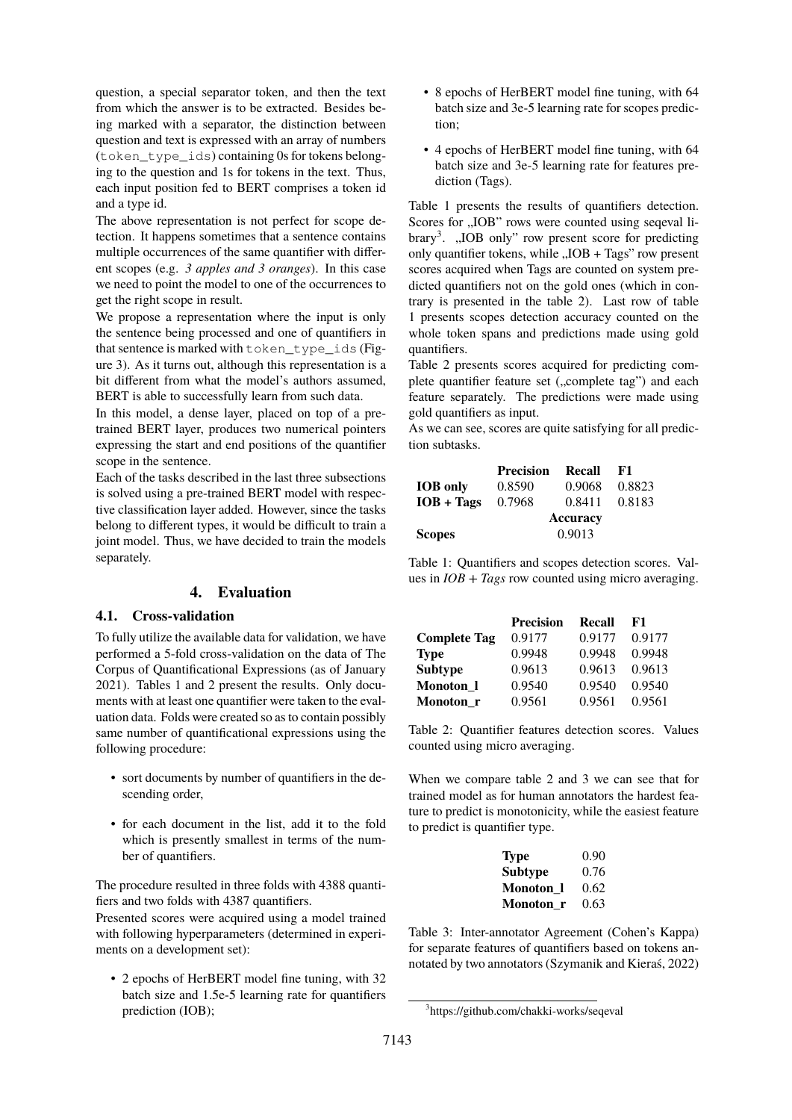question, a special separator token, and then the text from which the answer is to be extracted. Besides being marked with a separator, the distinction between question and text is expressed with an array of numbers (token\_type\_ids) containing 0s for tokens belonging to the question and 1s for tokens in the text. Thus, each input position fed to BERT comprises a token id and a type id.

The above representation is not perfect for scope detection. It happens sometimes that a sentence contains multiple occurrences of the same quantifier with different scopes (e.g. *3 apples and 3 oranges*). In this case we need to point the model to one of the occurrences to get the right scope in result.

We propose a representation where the input is only the sentence being processed and one of quantifiers in that sentence is marked with token\_type\_ids (Figure [3\)](#page-2-2). As it turns out, although this representation is a bit different from what the model's authors assumed, BERT is able to successfully learn from such data.

In this model, a dense layer, placed on top of a pretrained BERT layer, produces two numerical pointers expressing the start and end positions of the quantifier scope in the sentence.

Each of the tasks described in the last three subsections is solved using a pre-trained BERT model with respective classification layer added. However, since the tasks belong to different types, it would be difficult to train a joint model. Thus, we have decided to train the models separately.

## **4. Evaluation**

#### **4.1. Cross-validation**

To fully utilize the available data for validation, we have performed a 5-fold cross-validation on the data of The Corpus of Quantificational Expressions (as of January 2021). Tables [1](#page-3-0) and [2](#page-3-1) present the results. Only documents with at least one quantifier were taken to the evaluation data. Folds were created so as to contain possibly same number of quantificational expressions using the following procedure:

- sort documents by number of quantifiers in the descending order,
- for each document in the list, add it to the fold which is presently smallest in terms of the number of quantifiers.

The procedure resulted in three folds with 4388 quantifiers and two folds with 4387 quantifiers.

Presented scores were acquired using a model trained with following hyperparameters (determined in experiments on a development set):

• 2 epochs of HerBERT model fine tuning, with 32 batch size and 1.5e-5 learning rate for quantifiers prediction (IOB);

- 8 epochs of HerBERT model fine tuning, with 64 batch size and 3e-5 learning rate for scopes prediction;
- 4 epochs of HerBERT model fine tuning, with 64 batch size and 3e-5 learning rate for features prediction (Tags).

Table [1](#page-3-0) presents the results of quantifiers detection. Scores for "IOB" rows were counted using seqeval li-brary<sup>[3](#page-3-2)</sup>. "IOB only" row present score for predicting only quantifier tokens, while "IOB + Tags" row present scores acquired when Tags are counted on system predicted quantifiers not on the gold ones (which in contrary is presented in the table [2\)](#page-3-1). Last row of table [1](#page-3-0) presents scopes detection accuracy counted on the whole token spans and predictions made using gold quantifiers.

Table [2](#page-3-1) presents scores acquired for predicting complete quantifier feature set ("complete tag") and each feature separately. The predictions were made using gold quantifiers as input.

As we can see, scores are quite satisfying for all prediction subtasks.

|                 | Precision       | Recall | - F1   |  |
|-----------------|-----------------|--------|--------|--|
| <b>IOB</b> only | 0.8590          | 0.9068 | 0.8823 |  |
| $IOB + Tags$    | 0.7968          | 0.8411 | 0.8183 |  |
|                 | <b>Accuracy</b> |        |        |  |
| <b>Scopes</b>   |                 | 0.9013 |        |  |

<span id="page-3-0"></span>Table 1: Quantifiers and scopes detection scores. Values in *IOB + Tags* row counted using micro averaging.

|                     | <b>Precision</b> | Recall | F1.    |
|---------------------|------------------|--------|--------|
| <b>Complete Tag</b> | 0.9177           | 0.9177 | 0.9177 |
| <b>Type</b>         | 0.9948           | 0.9948 | 0.9948 |
| <b>Subtype</b>      | 0.9613           | 0.9613 | 0.9613 |
| Monoton 1           | 0.9540           | 0.9540 | 0.9540 |
| Monoton r           | 0.9561           | 0.9561 | 0.9561 |

<span id="page-3-1"></span>Table 2: Quantifier features detection scores. Values counted using micro averaging.

When we compare table [2](#page-3-1) and [3](#page-3-3) we can see that for trained model as for human annotators the hardest feature to predict is monotonicity, while the easiest feature to predict is quantifier type.

| <b>Type</b>      | 0.90 |
|------------------|------|
| <b>Subtype</b>   | 0.76 |
| <b>Monoton</b> 1 | 0.62 |
| Monoton r        | 0.63 |

<span id="page-3-3"></span>Table 3: Inter-annotator Agreement (Cohen's Kappa) for separate features of quantifiers based on tokens annotated by two annotators [\(Szymanik and Kieraś, 2022\)](#page-6-0)

<span id="page-3-2"></span><sup>3</sup> https://github.com/chakki-works/seqeval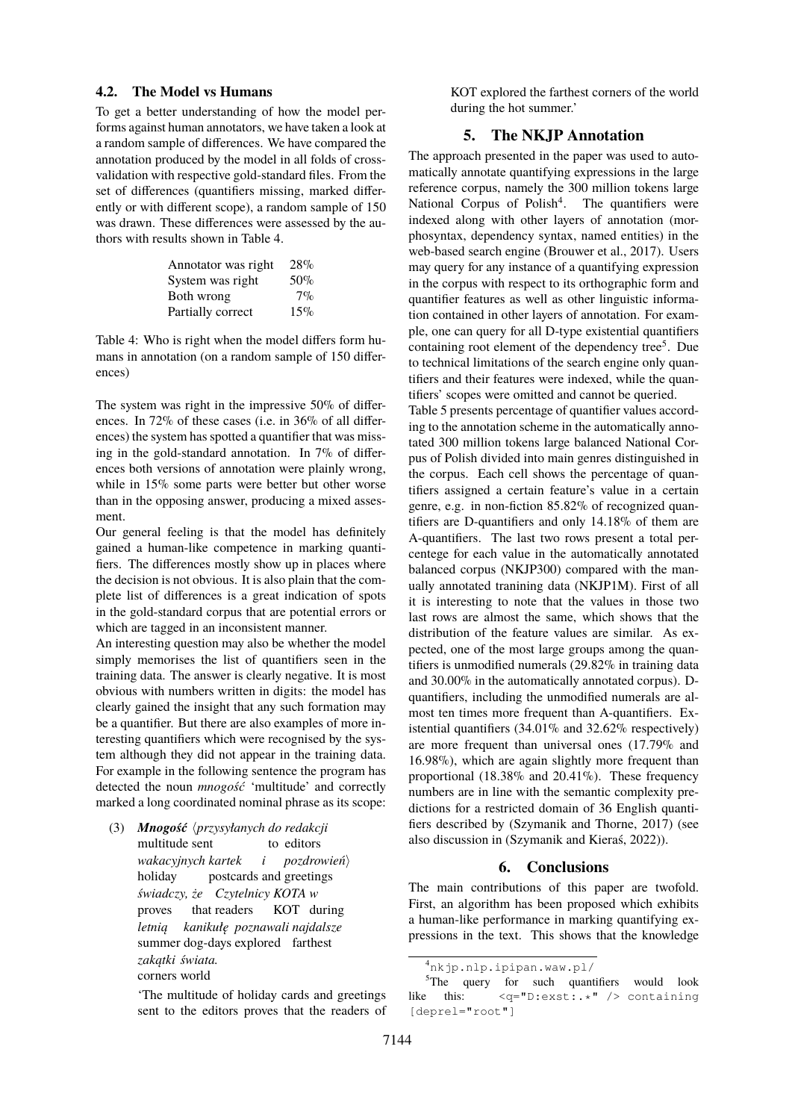#### **4.2. The Model vs Humans**

To get a better understanding of how the model performs against human annotators, we have taken a look at a random sample of differences. We have compared the annotation produced by the model in all folds of crossvalidation with respective gold-standard files. From the set of differences (quantifiers missing, marked differently or with different scope), a random sample of 150 was drawn. These differences were assessed by the authors with results shown in Table [4.](#page-4-0)

| Annotator was right | 28%   |
|---------------------|-------|
| System was right    | 50%   |
| Both wrong          | $7\%$ |
| Partially correct   | 15%   |

<span id="page-4-0"></span>Table 4: Who is right when the model differs form humans in annotation (on a random sample of 150 differences)

The system was right in the impressive 50% of differences. In 72% of these cases (i.e. in 36% of all differences) the system has spotted a quantifier that was missing in the gold-standard annotation. In 7% of differences both versions of annotation were plainly wrong, while in 15% some parts were better but other worse than in the opposing answer, producing a mixed assesment.

Our general feeling is that the model has definitely gained a human-like competence in marking quantifiers. The differences mostly show up in places where the decision is not obvious. It is also plain that the complete list of differences is a great indication of spots in the gold-standard corpus that are potential errors or which are tagged in an inconsistent manner.

An interesting question may also be whether the model simply memorises the list of quantifiers seen in the training data. The answer is clearly negative. It is most obvious with numbers written in digits: the model has clearly gained the insight that any such formation may be a quantifier. But there are also examples of more interesting quantifiers which were recognised by the system although they did not appear in the training data. For example in the following sentence the program has detected the noun *mnogość* 'multitude' and correctly marked a long coordinated nominal phrase as its scope:

(3) *Mnogość* h*przysyłanych do redakcji* multitude sent to editors *wakacyjnych kartek* holiday postcards and greetings *i*pozdrowień $\rangle$ *świadczy, że Czytelnicy KOTA w* proves that readers KOT during *letnią* summer dog-days explored farthest *kanikułę poznawali najdalsze zakątki świata.* corners world

> 'The multitude of holiday cards and greetings sent to the editors proves that the readers of

KOT explored the farthest corners of the world during the hot summer.'

## **5. The NKJP Annotation**

The approach presented in the paper was used to automatically annotate quantifying expressions in the large reference corpus, namely the 300 million tokens large National Corpus of Polish<sup>[4](#page-4-1)</sup>. The quantifiers were indexed along with other layers of annotation (morphosyntax, dependency syntax, named entities) in the web-based search engine [\(Brouwer et al., 2017\)](#page-5-1). Users may query for any instance of a quantifying expression in the corpus with respect to its orthographic form and quantifier features as well as other linguistic information contained in other layers of annotation. For example, one can query for all D-type existential quantifiers containing root element of the dependency tree<sup>[5](#page-4-2)</sup>. Due to technical limitations of the search engine only quantifiers and their features were indexed, while the quantifiers' scopes were omitted and cannot be queried.

Table [5](#page-5-2) presents percentage of quantifier values according to the annotation scheme in the automatically annotated 300 million tokens large balanced National Corpus of Polish divided into main genres distinguished in the corpus. Each cell shows the percentage of quantifiers assigned a certain feature's value in a certain genre, e.g. in non-fiction 85.82% of recognized quantifiers are D-quantifiers and only 14.18% of them are A-quantifiers. The last two rows present a total percentege for each value in the automatically annotated balanced corpus (NKJP300) compared with the manually annotated tranining data (NKJP1M). First of all it is interesting to note that the values in those two last rows are almost the same, which shows that the distribution of the feature values are similar. As expected, one of the most large groups among the quantifiers is unmodified numerals (29.82% in training data and 30.00% in the automatically annotated corpus). Dquantifiers, including the unmodified numerals are almost ten times more frequent than A-quantifiers. Existential quantifiers (34.01% and 32.62% respectively) are more frequent than universal ones (17.79% and 16.98%), which are again slightly more frequent than proportional (18.38% and 20.41%). These frequency numbers are in line with the semantic complexity predictions for a restricted domain of 36 English quantifiers described by [\(Szymanik and Thorne, 2017\)](#page-6-12) (see also discussion in [\(Szymanik and Kieraś, 2022\)](#page-6-0)).

## **6. Conclusions**

The main contributions of this paper are twofold. First, an algorithm has been proposed which exhibits a human-like performance in marking quantifying expressions in the text. This shows that the knowledge

<span id="page-4-2"></span><span id="page-4-1"></span><sup>4</sup><nkjp.nlp.ipipan.waw.pl/>

<sup>&</sup>lt;sup>5</sup>The query for such quantifiers would look like this: <q="D:exst:.\*" /> containing [deprel="root"]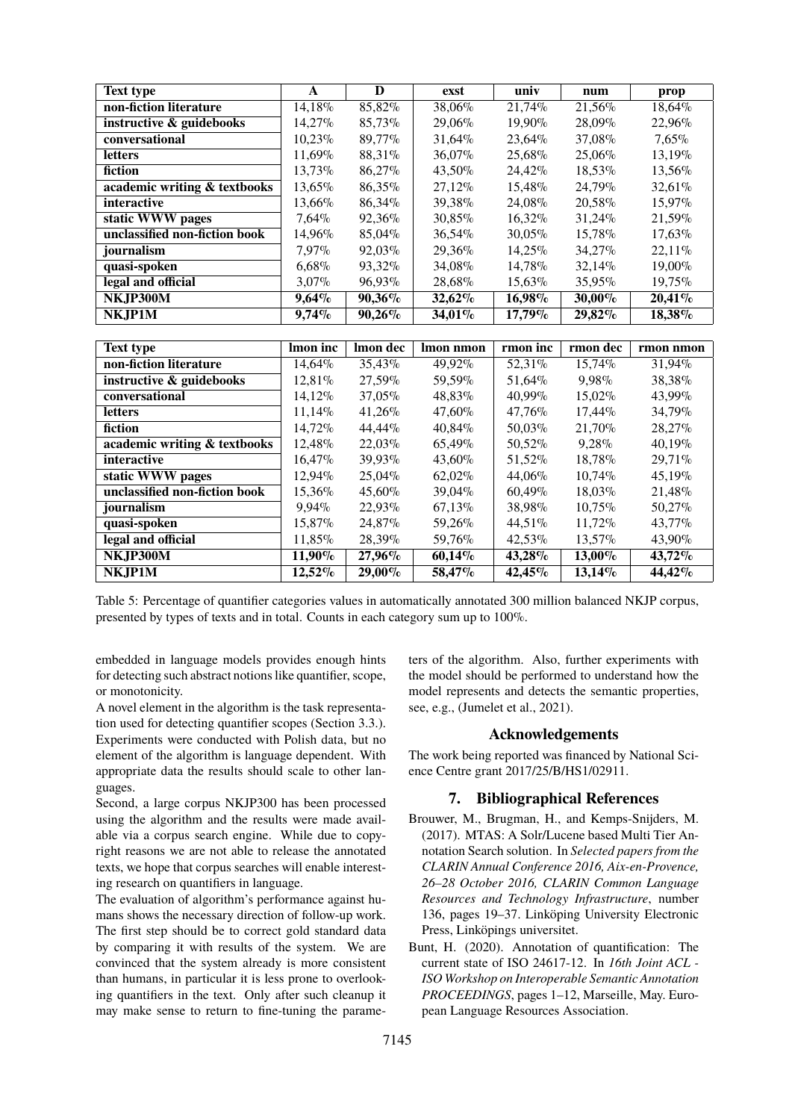| <b>Text type</b>              | $\mathbf{A}$           | D                      | exst                | univ             | num                    | prop             |
|-------------------------------|------------------------|------------------------|---------------------|------------------|------------------------|------------------|
| non-fiction literature        | $14,18\%$              | 85,82%                 | 38,06%              | 21,74%           | 21,56%                 | $18,64\%$        |
| instructive & guidebooks      | 14,27%                 | 85,73%                 | 29,06%              | 19,90%           | 28,09%                 | 22,96%           |
| conversational                | $10,23\%$              | 89,77%                 | 31,64%              | 23,64%           | 37,08%                 | 7,65%            |
| <b>letters</b>                | 11,69%                 | 88,31%                 | 36,07%              | 25,68%           | 25,06%                 | 13,19%           |
| fiction                       | 13,73%                 | 86,27%                 | 43,50%              | 24,42%           | 18,53%                 | 13,56%           |
| academic writing & textbooks  | 13,65%                 | 86,35%                 | 27,12%              | 15,48%           | 24,79%                 | 32,61%           |
| interactive                   | 13,66%                 | 86,34%                 | 39,38%              | 24,08%           | 20,58%                 | 15,97%           |
| static WWW pages              | 7,64%                  | 92,36%                 | 30,85%              | $16,32\%$        | 31,24%                 | 21,59%           |
| unclassified non-fiction book | 14,96%                 | 85,04%                 | 36,54%              | 30,05%           | 15,78%                 | 17,63%           |
| journalism                    | 7,97%                  | 92,03%                 | 29,36%              | 14,25%           | 34,27%                 | 22,11%           |
| quasi-spoken                  | 6,68%                  | 93,32%                 | 34,08%              | 14,78%           | 32,14%                 | 19,00%           |
| legal and official            | 3,07%                  | 96,93%                 | 28,68%              | 15,63%           | 35,95%                 | 19,75%           |
| NKJP300M                      | 9,64%                  | 90,36%                 | 32,62%              | 16,98%           | 30,00%                 | 20,41%           |
| NKJP1M                        | 9,74%                  | 90,26%                 | 34,01%              | 17,79%           | 29,82%                 | 18,38%           |
|                               |                        |                        |                     |                  |                        |                  |
|                               |                        |                        |                     |                  |                        |                  |
| <b>Text type</b>              | Imon inc               | Imon dec               | Imon nmon           | rmon inc         | rmon dec               | rmon nmon        |
| non-fiction literature        | 14,64%                 | 35,43%                 | 49,92%              | 52,31%           | 15,74%                 | 31,94%           |
| instructive & guidebooks      | 12,81%                 | 27,59%                 | 59,59%              | 51,64%           | 9,98%                  | 38,38%           |
| conversational                | 14,12%                 | 37,05%                 | 48,83%              | 40,99%           | 15,02%                 | 43,99%           |
| letters                       | 11,14%                 | 41,26%                 | 47,60%              | 47,76%           | 17,44%                 | 34,79%           |
| fiction                       | 14,72%                 | 44,44%                 | 40,84%              | 50,03%           | 21,70%                 | 28,27%           |
| academic writing & textbooks  | 12,48%                 | 22,03%                 | 65,49%              | 50,52%           | 9,28%                  | 40,19%           |
| <i>interactive</i>            | 16,47%                 | 39,93%                 | 43,60%              | 51,52%           | 18,78%                 | 29,71%           |
| static WWW pages              | 12,94%                 | 25,04%                 | 62,02%              | 44,06%           | 10,74%                 | 45,19%           |
| unclassified non-fiction book | 15,36%                 | 45,60%                 | 39,04%              | 60,49%           | 18,03%                 | 21,48%           |
| journalism                    | 9,94%                  | 22,93%                 | $67,13\%$           | 38,98%           | 10,75%                 | 50,27%           |
| quasi-spoken                  | 15,87%                 | 24,87%                 | 59,26%              | 44,51%           | 11,72%                 | 43,77%           |
| legal and official            | 11,85%                 | 28,39%                 | 59,76%              | 42,53%           | 13,57%                 | 43,90%           |
| NKJP300M                      | $11,90\%$<br>$12,52\%$ | $27,96\%$<br>$29,00\%$ | $60,14\%$<br>58,47% | 43,28%<br>42,45% | $13,00\%$<br>$13,14\%$ | 43,72%<br>44,42% |

<span id="page-5-2"></span>Table 5: Percentage of quantifier categories values in automatically annotated 300 million balanced NKJP corpus, presented by types of texts and in total. Counts in each category sum up to 100%.

embedded in language models provides enough hints for detecting such abstract notions like quantifier, scope, or monotonicity.

A novel element in the algorithm is the task representation used for detecting quantifier scopes (Section [3.3.\)](#page-2-3). Experiments were conducted with Polish data, but no element of the algorithm is language dependent. With appropriate data the results should scale to other languages.

Second, a large corpus NKJP300 has been processed using the algorithm and the results were made available via a corpus search engine. While due to copyright reasons we are not able to release the annotated texts, we hope that corpus searches will enable interesting research on quantifiers in language.

The evaluation of algorithm's performance against humans shows the necessary direction of follow-up work. The first step should be to correct gold standard data by comparing it with results of the system. We are convinced that the system already is more consistent than humans, in particular it is less prone to overlooking quantifiers in the text. Only after such cleanup it may make sense to return to fine-tuning the parameters of the algorithm. Also, further experiments with the model should be performed to understand how the model represents and detects the semantic properties, see, e.g., [\(Jumelet et al., 2021\)](#page-6-13).

## **Acknowledgements**

The work being reported was financed by National Science Centre grant 2017/25/B/HS1/02911.

## **7. Bibliographical References**

- <span id="page-5-1"></span>Brouwer, M., Brugman, H., and Kemps-Snijders, M. (2017). MTAS: A Solr/Lucene based Multi Tier Annotation Search solution. In *Selected papers from the CLARIN Annual Conference 2016, Aix-en-Provence, 26–28 October 2016, CLARIN Common Language Resources and Technology Infrastructure*, number 136, pages 19–37. Linköping University Electronic Press, Linköpings universitet.
- <span id="page-5-0"></span>Bunt, H. (2020). Annotation of quantification: The current state of ISO 24617-12. In *16th Joint ACL - ISO Workshop on Interoperable Semantic Annotation PROCEEDINGS*, pages 1–12, Marseille, May. European Language Resources Association.